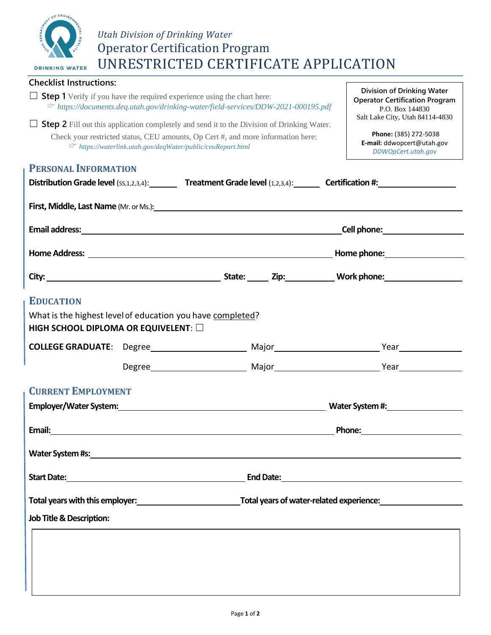

## *Utah Division of Drinking Water* Operator Certification Program UNRESTRICTED CERTIFICATE APPLICATION

| <b>Checklist Instructions:</b>                                                                                                                                             |  |                                                                                                                                                 |                                                                                                                                                                                                                                |  |                                                                                                                                                                                                                                     |  |
|----------------------------------------------------------------------------------------------------------------------------------------------------------------------------|--|-------------------------------------------------------------------------------------------------------------------------------------------------|--------------------------------------------------------------------------------------------------------------------------------------------------------------------------------------------------------------------------------|--|-------------------------------------------------------------------------------------------------------------------------------------------------------------------------------------------------------------------------------------|--|
| <b>Step 1</b> Verify if you have the required experience using the chart here:<br>$\circ$ https://documents.deq.utah.gov/drinking-water/field-services/DDW-2021-000195.pdf |  |                                                                                                                                                 |                                                                                                                                                                                                                                |  | Division of Drinking Water<br><b>Operator Certification Program</b><br>P.O. Box 144830<br>Salt Lake City, Utah 84114-4830                                                                                                           |  |
| $\Box$ <b>Step 2</b> Fill out this application completely and send it to the Division of Drinking Water.                                                                   |  | Check your restricted status, CEU amounts, Op Cert #, and more information here:<br>← https://waterlink.utah.gov/deqWater/public/ceuReport.html |                                                                                                                                                                                                                                |  | Phone: (385) 272-5038<br>E-mail: ddwopcert@utah.gov                                                                                                                                                                                 |  |
|                                                                                                                                                                            |  |                                                                                                                                                 |                                                                                                                                                                                                                                |  | DDWOpCert.utah.gov                                                                                                                                                                                                                  |  |
| <b>PERSONAL INFORMATION</b>                                                                                                                                                |  |                                                                                                                                                 |                                                                                                                                                                                                                                |  |                                                                                                                                                                                                                                     |  |
|                                                                                                                                                                            |  |                                                                                                                                                 |                                                                                                                                                                                                                                |  | Distribution Grade level (SS,1,2,3,4): Treatment Grade level (1,2,3,4): Certification #:                                                                                                                                            |  |
|                                                                                                                                                                            |  |                                                                                                                                                 |                                                                                                                                                                                                                                |  |                                                                                                                                                                                                                                     |  |
|                                                                                                                                                                            |  |                                                                                                                                                 |                                                                                                                                                                                                                                |  | <b>Cell phone:</b> example a series of the series of the series of the series of the series of the series of the series of the series of the series of the series of the series of the series of the series of the series of the se |  |
|                                                                                                                                                                            |  |                                                                                                                                                 |                                                                                                                                                                                                                                |  |                                                                                                                                                                                                                                     |  |
|                                                                                                                                                                            |  |                                                                                                                                                 |                                                                                                                                                                                                                                |  |                                                                                                                                                                                                                                     |  |
| <b>EDUCATION</b>                                                                                                                                                           |  |                                                                                                                                                 |                                                                                                                                                                                                                                |  |                                                                                                                                                                                                                                     |  |
| What is the highest level of education you have completed?                                                                                                                 |  |                                                                                                                                                 |                                                                                                                                                                                                                                |  |                                                                                                                                                                                                                                     |  |
| HIGH SCHOOL DIPLOMA OR EQUIVELENT: $\square$                                                                                                                               |  |                                                                                                                                                 |                                                                                                                                                                                                                                |  |                                                                                                                                                                                                                                     |  |
|                                                                                                                                                                            |  |                                                                                                                                                 |                                                                                                                                                                                                                                |  |                                                                                                                                                                                                                                     |  |
|                                                                                                                                                                            |  |                                                                                                                                                 |                                                                                                                                                                                                                                |  |                                                                                                                                                                                                                                     |  |
| <b>CURRENT EMPLOYMENT</b>                                                                                                                                                  |  |                                                                                                                                                 |                                                                                                                                                                                                                                |  |                                                                                                                                                                                                                                     |  |
|                                                                                                                                                                            |  |                                                                                                                                                 | Employer/Water System: with a state of the state of the state of the state of the state of the state of the state of the state of the state of the state of the state of the state of the state of the state of the state of t |  |                                                                                                                                                                                                                                     |  |
| Email:                                                                                                                                                                     |  |                                                                                                                                                 |                                                                                                                                                                                                                                |  | Phone:                                                                                                                                                                                                                              |  |
| Water System #s: North Material System #s:                                                                                                                                 |  |                                                                                                                                                 |                                                                                                                                                                                                                                |  |                                                                                                                                                                                                                                     |  |
|                                                                                                                                                                            |  |                                                                                                                                                 |                                                                                                                                                                                                                                |  |                                                                                                                                                                                                                                     |  |
| Total years with this employer: Total years of water-related experience:                                                                                                   |  |                                                                                                                                                 |                                                                                                                                                                                                                                |  |                                                                                                                                                                                                                                     |  |
| <b>Job Title &amp; Description:</b>                                                                                                                                        |  |                                                                                                                                                 |                                                                                                                                                                                                                                |  |                                                                                                                                                                                                                                     |  |
|                                                                                                                                                                            |  |                                                                                                                                                 |                                                                                                                                                                                                                                |  |                                                                                                                                                                                                                                     |  |
|                                                                                                                                                                            |  |                                                                                                                                                 |                                                                                                                                                                                                                                |  |                                                                                                                                                                                                                                     |  |
|                                                                                                                                                                            |  |                                                                                                                                                 |                                                                                                                                                                                                                                |  |                                                                                                                                                                                                                                     |  |
|                                                                                                                                                                            |  |                                                                                                                                                 |                                                                                                                                                                                                                                |  |                                                                                                                                                                                                                                     |  |